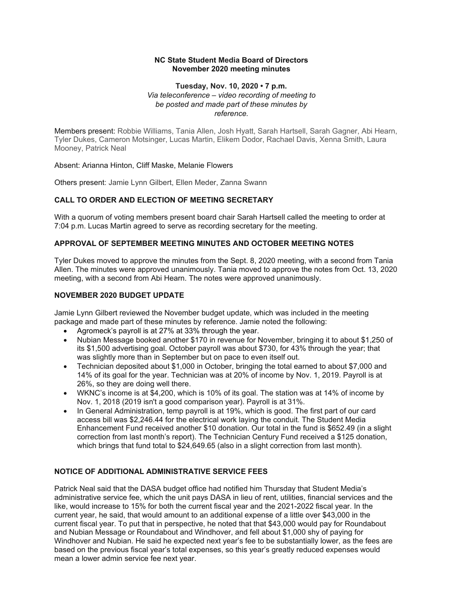### **NC State Student Media Board of Directors November 2020 meeting minutes**

### **Tuesday, Nov. 10, 2020 • 7 p.m.**   *Via teleconference – video recording of meeting to be posted and made part of these minutes by reference.*

 Members present: Robbie Williams, Tania Allen, Josh Hyatt, Sarah Hartsell, Sarah Gagner, Abi Hearn, Tyler Dukes, Cameron Motsinger, Lucas Martin, Elikem Dodor, Rachael Davis, Xenna Smith, Laura Mooney, Patrick Neal

Absent: Arianna Hinton, Cliff Maske, Melanie Flowers

Others present: Jamie Lynn Gilbert, Ellen Meder, Zanna Swann

# **CALL TO ORDER AND ELECTION OF MEETING SECRETARY**

 With a quorum of voting members present board chair Sarah Hartsell called the meeting to order at 7:04 p.m. Lucas Martin agreed to serve as recording secretary for the meeting.

## **APPROVAL OF SEPTEMBER MEETING MINUTES AND OCTOBER MEETING NOTES**

 Tyler Dukes moved to approve the minutes from the Sept. 8, 2020 meeting, with a second from Tania Allen. The minutes were approved unanimously. Tania moved to approve the notes from Oct. 13, 2020 meeting, with a second from Abi Hearn. The notes were approved unanimously.

## **NOVEMBER 2020 BUDGET UPDATE**

 Jamie Lynn Gilbert reviewed the November budget update, which was included in the meeting package and made part of these minutes by reference. Jamie noted the following:

- Agromeck's payroll is at 27% at 33% through the year.
- • Nubian Message booked another \$170 in revenue for November, bringing it to about \$1,250 of its \$1,500 advertising goal. October payroll was about \$730, for 43% through the year; that was slightly more than in September but on pace to even itself out.
- 14% of its goal for the year. Technician was at 20% of income by Nov. 1, 2019. Payroll is at 26%, so they are doing well there. • Technician deposited about \$1,000 in October, bringing the total earned to about \$7,000 and
- • WKNC's income is at \$4,200, which is 10% of its goal. The station was at 14% of income by Nov. 1, 2018 (2019 isn't a good comparison year). Payroll is at 31%.
- • In General Administration, temp payroll is at 19%, which is good. The first part of our card access bill was [\\$2,246.44](https://2,246.44) for the electrical work laying the conduit. The Student Media Enhancement Fund received another \$10 donation. Our total in the fund is \$652.49 (in a slight correction from last month's report). The Technician Century Fund received a \$125 donation, which brings that fund total to [\\$24,649.65](https://24,649.65) (also in a slight correction from last month).

### **NOTICE OF ADDITIONAL ADMINISTRATIVE SERVICE FEES**

 Patrick Neal said that the DASA budget office had notified him Thursday that Student Media's administrative service fee, which the unit pays DASA in lieu of rent, utilities, financial services and the like, would increase to 15% for both the current fiscal year and the 2021-2022 fiscal year. In the current year, he said, that would amount to an additional expense of a little over \$43,000 in the current fiscal year. To put that in perspective, he noted that that \$43,000 would pay for Roundabout and Nubian Message or Roundabout and Windhover, and fell about \$1,000 shy of paying for Windhover and Nubian. He said he expected next year's fee to be substantially lower, as the fees are based on the previous fiscal year's total expenses, so this year's greatly reduced expenses would mean a lower admin service fee next year.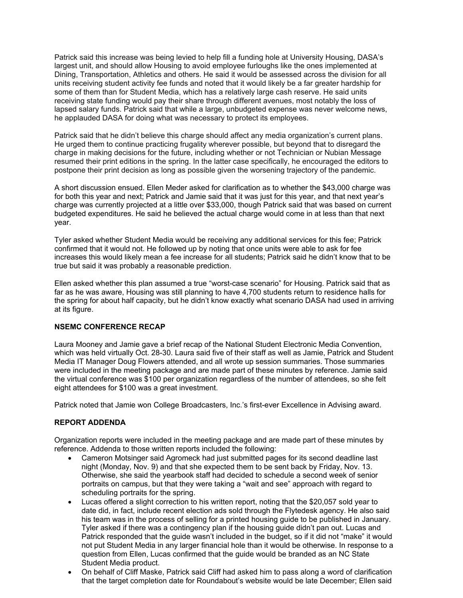Patrick said this increase was being levied to help fill a funding hole at University Housing, DASA's largest unit, and should allow Housing to avoid employee furloughs like the ones implemented at Dining, Transportation, Athletics and others. He said it would be assessed across the division for all units receiving student activity fee funds and noted that it would likely be a far greater hardship for some of them than for Student Media, which has a relatively large cash reserve. He said units receiving state funding would pay their share through different avenues, most notably the loss of lapsed salary funds. Patrick said that while a large, unbudgeted expense was never welcome news, he applauded DASA for doing what was necessary to protect its employees.

 Patrick said that he didn't believe this charge should affect any media organization's current plans. He urged them to continue practicing frugality wherever possible, but beyond that to disregard the charge in making decisions for the future, including whether or not Technician or Nubian Message resumed their print editions in the spring. In the latter case specifically, he encouraged the editors to postpone their print decision as long as possible given the worsening trajectory of the pandemic.

 A short discussion ensued. Ellen Meder asked for clarification as to whether the \$43,000 charge was for both this year and next; Patrick and Jamie said that it was just for this year, and that next year's charge was currently projected at a little over \$33,000, though Patrick said that was based on current budgeted expenditures. He said he believed the actual charge would come in at less than that next year.

 Tyler asked whether Student Media would be receiving any additional services for this fee; Patrick confirmed that it would not. He followed up by noting that once units were able to ask for fee increases this would likely mean a fee increase for all students; Patrick said he didn't know that to be true but said it was probably a reasonable prediction.

 Ellen asked whether this plan assumed a true "worst-case scenario" for Housing. Patrick said that as far as he was aware, Housing was still planning to have 4,700 students return to residence halls for the spring for about half capacity, but he didn't know exactly what scenario DASA had used in arriving at its figure.

### **NSEMC CONFERENCE RECAP**

 Laura Mooney and Jamie gave a brief recap of the National Student Electronic Media Convention, which was held virtually Oct. 28-30. Laura said five of their staff as well as Jamie, Patrick and Student Media IT Manager Doug Flowers attended, and all wrote up session summaries. Those summaries were included in the meeting package and are made part of these minutes by reference. Jamie said the virtual conference was \$100 per organization regardless of the number of attendees, so she felt eight attendees for \$100 was a great investment.

Patrick noted that Jamie won College Broadcasters, Inc.'s first-ever Excellence in Advising award.

### **REPORT ADDENDA**

 Organization reports were included in the meeting package and are made part of these minutes by reference. Addenda to those written reports included the following:

- • Cameron Motsinger said Agromeck had just submitted pages for its second deadline last night (Monday, Nov. 9) and that she expected them to be sent back by Friday, Nov. 13. Otherwise, she said the yearbook staff had decided to schedule a second week of senior portraits on campus, but that they were taking a "wait and see" approach with regard to scheduling portraits for the spring.
- • Lucas offered a slight correction to his written report, noting that the \$20,057 sold year to date did, in fact, include recent election ads sold through the Flytedesk agency. He also said his team was in the process of selling for a printed housing guide to be published in January. Tyler asked if there was a contingency plan if the housing guide didn't pan out. Lucas and Patrick responded that the guide wasn't included in the budget, so if it did not "make" it would not put Student Media in any larger financial hole than it would be otherwise. In response to a question from Ellen, Lucas confirmed that the guide would be branded as an NC State Student Media product.
- • On behalf of Cliff Maske, Patrick said Cliff had asked him to pass along a word of clarification that the target completion date for Roundabout's website would be late December; Ellen said